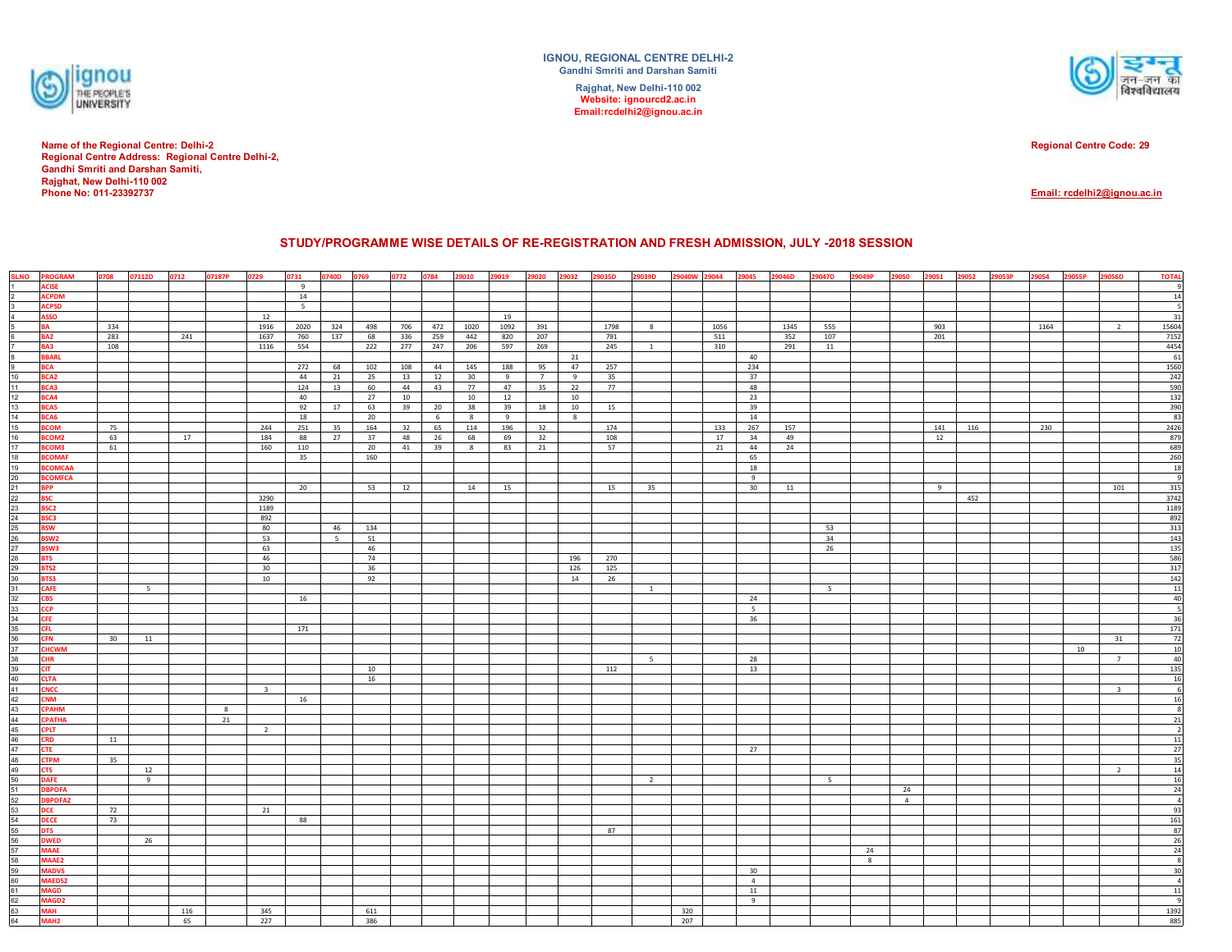

**Name of the Regional Centre: Delhi-2 Regional Centre Address: Regional Centre Delhi-2, Gandhi Smriti and Darshan Samiti, Rajghat, New Delhi-110 002Phone No: 011-23392737**

**IGNOU, REGIONAL CENTRE DELHI-2Gandhi Smriti and Darshan SamitiRajghat, New Delhi-110 002 Website: ignourcd2.ac.inEmail:rcdelhi2@ignou.ac.in**



**Regional Centre Code: 29**

## **Email: rcdelhi2@ignou.ac.in**

## **STUDY/PROGRAMME WISE DETAILS OF RE-REGISTRATION AND FRESH ADMISSION, JULY -2018 SESSION**

|                                                                                                                  | SLNO PROGRAM                 | 0708 | 07112D | 0712 | 07187P | 0729                    | 0731      | 0740D 0769     |           | 0772     | 0784    | 29010    | 29019    | 29020           | 29032     | 29035D    | 29039D         | 29040W 29044 |      | 29045           | 29046D | 29047D      | 29049P | 29050          | 29051 | 29052 | 29053P | 29054 | 29055P | 29056D                  | <b>TOTAL</b>                                  |
|------------------------------------------------------------------------------------------------------------------|------------------------------|------|--------|------|--------|-------------------------|-----------|----------------|-----------|----------|---------|----------|----------|-----------------|-----------|-----------|----------------|--------------|------|-----------------|--------|-------------|--------|----------------|-------|-------|--------|-------|--------|-------------------------|-----------------------------------------------|
|                                                                                                                  | <b>ACISE</b>                 |      |        |      |        |                         | 9         |                |           |          |         |          |          |                 |           |           |                |              |      |                 |        |             |        |                |       |       |        |       |        |                         |                                               |
|                                                                                                                  | <b>ACPDM</b>                 |      |        |      |        |                         | 14        |                |           |          |         |          |          |                 |           |           |                |              |      |                 |        |             |        |                |       |       |        |       |        |                         | 14                                            |
|                                                                                                                  | <b>ACPSD</b>                 |      |        |      |        |                         | 5         |                |           |          |         |          |          |                 |           |           |                |              |      |                 |        |             |        |                |       |       |        |       |        |                         |                                               |
|                                                                                                                  | <b>ASSO</b>                  |      |        |      |        | 12                      |           |                |           |          |         |          | 19       |                 |           |           |                |              |      |                 |        |             |        |                |       |       |        |       |        |                         | 31                                            |
|                                                                                                                  | <b>BA</b>                    | 334  |        |      |        | 1916                    | 2020      | 324            | 498       | 706      | 472     | 1020     | 1092     | 391             |           | 1798      | 8              |              | 1056 |                 | 1345   | 555         |        |                | 903   |       |        | 1164  |        | $\overline{2}$          | 15604                                         |
|                                                                                                                  | BA <sub>2</sub>              | 283  |        | 241  |        | 1637                    | 760       | 137            | 68        | 336      | 259     | 442      | 820      | 207             |           | 791       |                |              | 511  |                 | 352    | 107         |        |                | 201   |       |        |       |        |                         | 7152                                          |
|                                                                                                                  | <b>BA3</b>                   | 108  |        |      |        | 1116                    | 554       |                | 222       | 277      | 247     | 206      | 597      | 269             |           | 245       | $\overline{1}$ |              | 310  |                 | 291    | 11          |        |                |       |       |        |       |        |                         | 4454                                          |
|                                                                                                                  | <b>BBARL</b>                 |      |        |      |        |                         |           |                |           |          |         |          |          |                 | 21        |           |                |              |      | 40              |        |             |        |                |       |       |        |       |        |                         | 61                                            |
|                                                                                                                  | <b>BCA</b>                   |      |        |      |        |                         | 272       | 68             | 102       | 108      | 44      | 145      | 188      | 95              | 47        | 257       |                |              |      | 234             |        |             |        |                |       |       |        |       |        |                         | 1560                                          |
| 10 <sub>1</sub>                                                                                                  | BCA <sub>2</sub>             |      |        |      |        |                         | 44        | 21             | 25        | 13       | 12      | 30       | 9        | $7\overline{ }$ | 9         | 35        |                |              |      | 37              |        |             |        |                |       |       |        |       |        |                         | 242<br>590<br>132                             |
| 11                                                                                                               | BCA3                         |      |        |      |        |                         | 124       | 13             | 60        | 44       | 43      | 77       | 47       | 35              | 22        | 77        |                |              |      | 48              |        |             |        |                |       |       |        |       |        |                         |                                               |
| 12                                                                                                               | BCA4                         |      |        |      |        |                         | 40        |                | 27        | 10       |         | 10       | 12       |                 | 10        |           |                |              |      | 23              |        |             |        |                |       |       |        |       |        |                         |                                               |
| $\frac{13}{14}$                                                                                                  | <b>BCA5</b>                  |      |        |      |        |                         | 92        | 17             | 63        | 39       | 20      | 38       | 39       | 18              | 10        | 15        |                |              |      | 39              |        |             |        |                |       |       |        |       |        |                         | $\frac{390}{83}$                              |
| 15                                                                                                               | BCA6<br><b>BCOM</b>          | 75   |        |      |        | 244                     | 18<br>251 |                | 20<br>164 |          | 6<br>65 | 8<br>114 | 9<br>196 | 32              | 8         | 174       |                |              | 133  | 14<br>267       | 157    |             |        |                | 141   | 116   |        | 230   |        |                         | 2426                                          |
| 16                                                                                                               | BCOM2                        | 63   |        | 17   |        | 184                     | 88        | 35<br>27       | 37        | 32<br>48 | 26      | 68       | 69       | 32              |           | 108       |                |              | 17   | 34              | 49     |             |        |                | 12    |       |        |       |        |                         | 879                                           |
| 17                                                                                                               | BCOM3                        | 61   |        |      |        | 160                     | 110       |                | 20        | 41       | 39      | 8        | 83       | 21              |           | 57        |                |              | 21   | 44              | 24     |             |        |                |       |       |        |       |        |                         | 689                                           |
|                                                                                                                  | <b>BCOMAF</b>                |      |        |      |        |                         | 35        |                | 160       |          |         |          |          |                 |           |           |                |              |      | 65              |        |             |        |                |       |       |        |       |        |                         |                                               |
| $\frac{18}{19}$                                                                                                  | <b>BCOMCAA</b>               |      |        |      |        |                         |           |                |           |          |         |          |          |                 |           |           |                |              |      | 18              |        |             |        |                |       |       |        |       |        |                         | $\frac{260}{18}$                              |
| 20 <sub>2</sub>                                                                                                  | <b>BCOMFCA</b>               |      |        |      |        |                         |           |                |           |          |         |          |          |                 |           |           |                |              |      | 9               |        |             |        |                |       |       |        |       |        |                         | $\overline{g}$                                |
| 21                                                                                                               | <b>BPP</b>                   |      |        |      |        |                         | 20        |                | 53        | 12       |         | 14       | 15       |                 |           | 15        | 35             |              |      | 30              | 11     |             |        |                | 9     |       |        |       |        | 101                     | 315                                           |
|                                                                                                                  | <b>BSC</b>                   |      |        |      |        | 3290                    |           |                |           |          |         |          |          |                 |           |           |                |              |      |                 |        |             |        |                |       | 452   |        |       |        |                         | 3742                                          |
| 22<br>23                                                                                                         | BSC <sub>2</sub>             |      |        |      |        | 1189                    |           |                |           |          |         |          |          |                 |           |           |                |              |      |                 |        |             |        |                |       |       |        |       |        |                         | 1189                                          |
|                                                                                                                  | <b>BSC3</b>                  |      |        |      |        | 892                     |           |                |           |          |         |          |          |                 |           |           |                |              |      |                 |        |             |        |                |       |       |        |       |        |                         | 892                                           |
|                                                                                                                  | <b>BSW</b>                   |      |        |      |        | 80                      |           | 46             | 134       |          |         |          |          |                 |           |           |                |              |      |                 |        | 53          |        |                |       |       |        |       |        |                         | 313                                           |
|                                                                                                                  | BSW <sub>2</sub>             |      |        |      |        | 53                      |           | 5 <sup>7</sup> | 51        |          |         |          |          |                 |           |           |                |              |      |                 |        | 34          |        |                |       |       |        |       |        |                         | 143                                           |
| $\frac{24}{25}$ $\frac{26}{27}$ $\frac{27}{28}$                                                                  | BSW3                         |      |        |      |        | 63                      |           |                | 46        |          |         |          |          |                 |           |           |                |              |      |                 |        | $26\,$      |        |                |       |       |        |       |        |                         | 135                                           |
|                                                                                                                  | <b>BTS</b>                   |      |        |      |        | 46                      |           |                | 74        |          |         |          |          |                 | 196       | 270       |                |              |      |                 |        |             |        |                |       |       |        |       |        |                         | $\frac{586}{317}$                             |
| 29<br>30                                                                                                         | BTS2<br>BTS3                 |      |        |      |        | 30<br>10                |           |                | 36        |          |         |          |          |                 | 126<br>14 | 125<br>26 |                |              |      |                 |        |             |        |                |       |       |        |       |        |                         |                                               |
| 31                                                                                                               | <b>CAFE</b>                  |      | 5      |      |        |                         |           |                | 92        |          |         |          |          |                 |           |           | $\mathbf{1}$   |              |      |                 |        | $5^{\circ}$ |        |                |       |       |        |       |        |                         | $\overline{11}$                               |
|                                                                                                                  | <b>CBS</b>                   |      |        |      |        |                         | 16        |                |           |          |         |          |          |                 |           |           |                |              |      | 24              |        |             |        |                |       |       |        |       |        |                         | 40                                            |
|                                                                                                                  | <b>CCP</b>                   |      |        |      |        |                         |           |                |           |          |         |          |          |                 |           |           |                |              |      | $5\overline{5}$ |        |             |        |                |       |       |        |       |        |                         | ٦ę                                            |
|                                                                                                                  | CFE                          |      |        |      |        |                         |           |                |           |          |         |          |          |                 |           |           |                |              |      | 36              |        |             |        |                |       |       |        |       |        |                         | 36                                            |
|                                                                                                                  | <b>CFL</b>                   |      |        |      |        |                         | 171       |                |           |          |         |          |          |                 |           |           |                |              |      |                 |        |             |        |                |       |       |        |       |        |                         | 171                                           |
|                                                                                                                  | <b>CFN</b>                   | 30   | 11     |      |        |                         |           |                |           |          |         |          |          |                 |           |           |                |              |      |                 |        |             |        |                |       |       |        |       |        | 31                      |                                               |
|                                                                                                                  | <b>CHCWM</b>                 |      |        |      |        |                         |           |                |           |          |         |          |          |                 |           |           |                |              |      |                 |        |             |        |                |       |       |        |       | 10     |                         | $\begin{array}{c} 72 \\ 10 \\ 40 \end{array}$ |
|                                                                                                                  | <b>CHR</b>                   |      |        |      |        |                         |           |                |           |          |         |          |          |                 |           |           | 5              |              |      | 28              |        |             |        |                |       |       |        |       |        | $7\overline{ }$         |                                               |
| $\frac{32}{33} \frac{34}{34} \frac{35}{36} \frac{37}{37} \frac{38}{38} \frac{39}{39} \frac{10}{40} \frac{1}{41}$ | <b>CIT</b>                   |      |        |      |        |                         |           |                | 10        |          |         |          |          |                 |           | 112       |                |              |      | 13              |        |             |        |                |       |       |        |       |        |                         | 135                                           |
|                                                                                                                  | <b>CLTA</b>                  |      |        |      |        |                         |           |                | 16        |          |         |          |          |                 |           |           |                |              |      |                 |        |             |        |                |       |       |        |       |        |                         | 16                                            |
|                                                                                                                  | <b>CNCC</b>                  |      |        |      |        | $\overline{\mathbf{3}}$ |           |                |           |          |         |          |          |                 |           |           |                |              |      |                 |        |             |        |                |       |       |        |       |        | $\overline{\mathbf{3}}$ | $\epsilon$                                    |
| 42                                                                                                               | <b>CNM</b>                   |      |        |      |        |                         | 16        |                |           |          |         |          |          |                 |           |           |                |              |      |                 |        |             |        |                |       |       |        |       |        |                         | 16                                            |
|                                                                                                                  | <b>CPAHM</b>                 |      |        |      | 8      |                         |           |                |           |          |         |          |          |                 |           |           |                |              |      |                 |        |             |        |                |       |       |        |       |        |                         |                                               |
| 43<br>44<br>45<br>46<br>47<br>48<br>49                                                                           | <b>CPATHA</b><br><b>CPLT</b> |      |        |      | 21     | $\overline{2}$          |           |                |           |          |         |          |          |                 |           |           |                |              |      |                 |        |             |        |                |       |       |        |       |        |                         | 21                                            |
|                                                                                                                  | <b>CRD</b>                   | 11   |        |      |        |                         |           |                |           |          |         |          |          |                 |           |           |                |              |      |                 |        |             |        |                |       |       |        |       |        |                         | 11                                            |
|                                                                                                                  | <b>CTE</b>                   |      |        |      |        |                         |           |                |           |          |         |          |          |                 |           |           |                |              |      | 27              |        |             |        |                |       |       |        |       |        |                         | 27                                            |
|                                                                                                                  | <b>CTPM</b>                  | 35   |        |      |        |                         |           |                |           |          |         |          |          |                 |           |           |                |              |      |                 |        |             |        |                |       |       |        |       |        |                         |                                               |
|                                                                                                                  | <b>CTS</b>                   |      | 12     |      |        |                         |           |                |           |          |         |          |          |                 |           |           |                |              |      |                 |        |             |        |                |       |       |        |       |        | $\overline{2}$          | $\frac{35}{14}$                               |
|                                                                                                                  | <b>DAFE</b>                  |      | 9      |      |        |                         |           |                |           |          |         |          |          |                 |           |           | $\overline{2}$ |              |      |                 |        | $5 -$       |        |                |       |       |        |       |        |                         |                                               |
|                                                                                                                  | <b>DBPOFA</b>                |      |        |      |        |                         |           |                |           |          |         |          |          |                 |           |           |                |              |      |                 |        |             |        | 24             |       |       |        |       |        |                         | $\frac{16}{24}$                               |
|                                                                                                                  | <b>DBPOFA2</b>               |      |        |      |        |                         |           |                |           |          |         |          |          |                 |           |           |                |              |      |                 |        |             |        | $\overline{4}$ |       |       |        |       |        |                         |                                               |
|                                                                                                                  | <b>DCE</b>                   | 72   |        |      |        | 21                      |           |                |           |          |         |          |          |                 |           |           |                |              |      |                 |        |             |        |                |       |       |        |       |        |                         | 93                                            |
|                                                                                                                  | <b>DECE</b>                  | 73   |        |      |        |                         | 88        |                |           |          |         |          |          |                 |           |           |                |              |      |                 |        |             |        |                |       |       |        |       |        |                         | 161                                           |
|                                                                                                                  | <b>DTS</b>                   |      |        |      |        |                         |           |                |           |          |         |          |          |                 |           | 87        |                |              |      |                 |        |             |        |                |       |       |        |       |        |                         | 87                                            |
|                                                                                                                  | <b>DWED</b>                  |      | 26     |      |        |                         |           |                |           |          |         |          |          |                 |           |           |                |              |      |                 |        |             |        |                |       |       |        |       |        |                         | $\frac{26}{24}$                               |
|                                                                                                                  | <b>MAAE</b>                  |      |        |      |        |                         |           |                |           |          |         |          |          |                 |           |           |                |              |      |                 |        |             | 24     |                |       |       |        |       |        |                         | -8                                            |
|                                                                                                                  | MAAE2<br><b>MADVS</b>        |      |        |      |        |                         |           |                |           |          |         |          |          |                 |           |           |                |              |      | 30              |        |             | 8      |                |       |       |        |       |        |                         | 30                                            |
|                                                                                                                  | <b>MAEDS2</b>                |      |        |      |        |                         |           |                |           |          |         |          |          |                 |           |           |                |              |      | $\overline{4}$  |        |             |        |                |       |       |        |       |        |                         | $\overline{A}$                                |
|                                                                                                                  | <b>MAGD</b>                  |      |        |      |        |                         |           |                |           |          |         |          |          |                 |           |           |                |              |      | 11              |        |             |        |                |       |       |        |       |        |                         | 11                                            |
|                                                                                                                  | MAGD <sub>2</sub>            |      |        |      |        |                         |           |                |           |          |         |          |          |                 |           |           |                |              |      | 9               |        |             |        |                |       |       |        |       |        |                         |                                               |
|                                                                                                                  | <b>MAH</b>                   |      |        | 116  |        | 345                     |           |                | 611       |          |         |          |          |                 |           |           |                | 320          |      |                 |        |             |        |                |       |       |        |       |        |                         | 1392                                          |
| 62<br>63<br>64                                                                                                   | MAH <sub>2</sub>             |      |        | 65   |        | 227                     |           |                | 386       |          |         |          |          |                 |           |           |                | 207          |      |                 |        |             |        |                |       |       |        |       |        |                         | 885                                           |
|                                                                                                                  |                              |      |        |      |        |                         |           |                |           |          |         |          |          |                 |           |           |                |              |      |                 |        |             |        |                |       |       |        |       |        |                         |                                               |